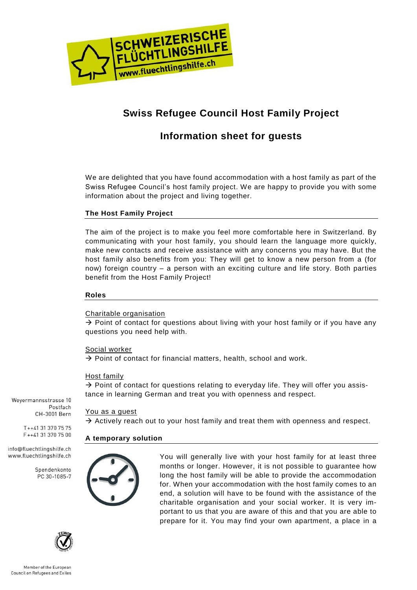

# **Swiss Refugee Council Host Family Project**

# **Information sheet for guests**

We are delighted that you have found accommodation with a host family as part of the Swiss Refugee Council's host family project. We are happy to provide you with some information about the project and living together.

# **The Host Family Project**

The aim of the project is to make you feel more comfortable here in Switzerland. By communicating with your host family, you should learn the language more quickly, make new contacts and receive assistance with any concerns you may have. But the host family also benefits from you: They will get to know a new person from a (for now) foreign country – a person with an exciting culture and life story. Both parties benefit from the Host Family Project!

#### **Roles**

Charitable organisation

 $\rightarrow$  Point of contact for questions about living with your host family or if you have any questions you need help with.

#### Social worker

 $\rightarrow$  Point of contact for financial matters, health, school and work.

#### Host family

 $\rightarrow$  Point of contact for questions relating to everyday life. They will offer you assistance in learning German and treat you with openness and respect.

You as a guest

 $\rightarrow$  Actively reach out to your host family and treat them with openness and respect.

# **A temporary solution**



You will generally live with your host family for at least three months or longer. However, it is not possible to guarantee how long the host family will be able to provide the accommodation for. When your accommodation with the host family comes to an end, a solution will have to be found with the assistance of the charitable organisation and your social worker. It is very important to us that you are aware of this and that you are able to prepare for it. You may find your own apartment, a place in a

Wevermannsstrasse 10 Postfach CH-3001 Bern

> $T_{++41}$  31 370 75 75 F++41 31 370 75 00

info@fluechtlingshilfe.ch www.fluechtlingshilfe.ch

> Spendenkonto PC 30-1085-7